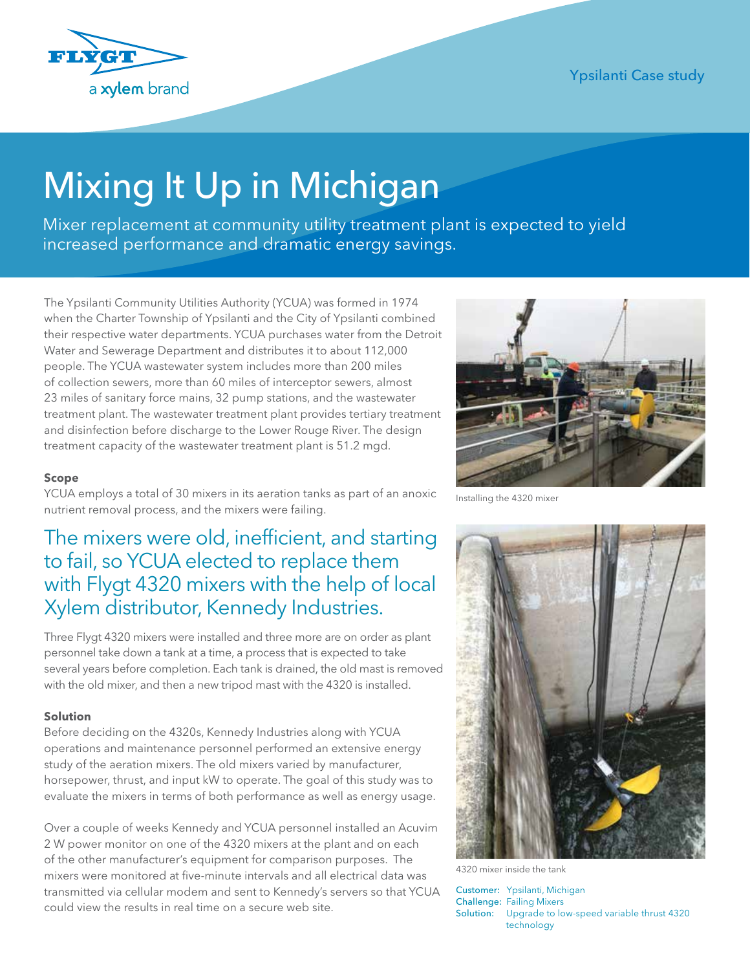

# Mixing It Up in Michigan

Mixer replacement at community utility treatment plant is expected to yield increased performance and dramatic energy savings.

The Ypsilanti Community Utilities Authority (YCUA) was formed in 1974 when the Charter Township of Ypsilanti and the City of Ypsilanti combined their respective water departments. YCUA purchases water from the Detroit Water and Sewerage Department and distributes it to about 112,000 people. The YCUA wastewater system includes more than 200 miles of collection sewers, more than 60 miles of interceptor sewers, almost 23 miles of sanitary force mains, 32 pump stations, and the wastewater treatment plant. The wastewater treatment plant provides tertiary treatment and disinfection before discharge to the Lower Rouge River. The design treatment capacity of the wastewater treatment plant is 51.2 mgd.

#### **Scope**

YCUA employs a total of 30 mixers in its aeration tanks as part of an anoxic nutrient removal process, and the mixers were failing.

# The mixers were old, inefficient, and starting to fail, so YCUA elected to replace them with Flygt 4320 mixers with the help of local Xylem distributor, Kennedy Industries.

Three Flygt 4320 mixers were installed and three more are on order as plant personnel take down a tank at a time, a process that is expected to take several years before completion. Each tank is drained, the old mast is removed with the old mixer, and then a new tripod mast with the 4320 is installed.

#### **Solution**

Before deciding on the 4320s, Kennedy Industries along with YCUA operations and maintenance personnel performed an extensive energy study of the aeration mixers. The old mixers varied by manufacturer, horsepower, thrust, and input kW to operate. The goal of this study was to evaluate the mixers in terms of both performance as well as energy usage.

Over a couple of weeks Kennedy and YCUA personnel installed an Acuvim 2 W power monitor on one of the 4320 mixers at the plant and on each of the other manufacturer's equipment for comparison purposes. The mixers were monitored at five-minute intervals and all electrical data was transmitted via cellular modem and sent to Kennedy's servers so that YCUA could view the results in real time on a secure web site.



Installing the 4320 mixer



4320 mixer inside the tank

Customer: Ypsilanti, Michigan Challenge: Failing Mixers Solution: Upgrade to low-speed variable thrust 4320 technology